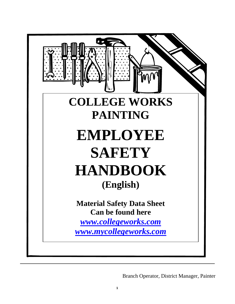

Branch Operator, District Manager, Painter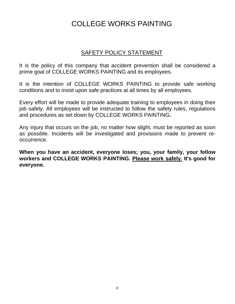# SAFETY POLICY STATEMENT

It is the policy of this company that accident prevention shall be considered a prime goal of COLLEGE WORKS PAINTING and its employees.

It is the intention of COLLEGE WORKS PAINTING to provide safe working conditions and to insist upon safe practices at all times by all employees.

Every effort will be made to provide adequate training to employees in doing their job safely. All employees will be instructed to follow the safety rules, regulations and procedures as set down by COLLEGE WORKS PAINTING**.** 

Any injury that occurs on the job, no matter how slight, must be reported as soon as possible. Incidents will be investigated and provisions made to prevent reoccurrence.

**When you have an accident, everyone loses; you, your family, your fellow workers and COLLEGE WORKS PAINTING. Please work safely. It's good for everyone.**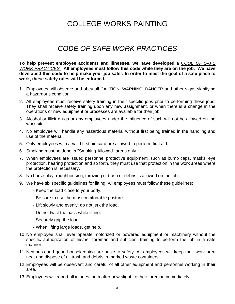# *CODE OF SAFE WORK PRACTICES*

**To help prevent employee accidents and illnesses, we have developed a** *CODE OF SAFE WORK PRACTICES.* **All employees must follow this code while they are on the job. We have developed this code to help make your job safer. In order to meet the goal of a safe place to work, these safety rules will be enforced.** 

- 1. Employees will observe and obey all CAUTION, WARNING, DANGER and other signs signifying a hazardous condition.
- 2. All employees must receive safety training in their specific jobs prior to performing these jobs. They shall receive safety training upon any new assignment, or when there is a change in the operations or new equipment or processes are available for their job.
- 3. Alcohol or illicit drugs or any employees under the influence of such will not be allowed on the work site.
- 4. No employee will handle any hazardous material without first being trained in the handling and use of the material.
- 5. Only employees with a valid first aid card are allowed to perform first aid.
- 6. Smoking must be done in "Smoking Allowed" areas only.
- 7. When employees are issued personnel protective equipment, such as bump caps, masks, eye protection, hearing protection and so forth, they must use that protection in the work areas where the protection is necessary.
- 8. No horse play, roughhousing, throwing of trash or debris is allowed on the job.
- 9. We have six specific guidelines for lifting. All employees must follow these guidelines:
	- Keep the load close to your body.
	- Be sure to use the most comfortable posture.
	- Lift slowly and evenly; do not jerk the load.
	- Do not twist the back while lifting.
	- Securely grip the load.
	- When lifting large loads, get help.
- 10. No employee shall ever operate motorized or powered equipment or machinery without the specific authorization of his/her foreman and sufficient training to perform the job in a safe manner.
- 11. Neatness and good housekeeping are basic to safety. All employees will keep their work area neat and dispose of all trash and debris in marked waste containers.
- 12. Employees will be observant and careful of all other equipment and personnel working in their area.
- 13. Employees will report all injuries, no matter how slight, to their foreman immediately.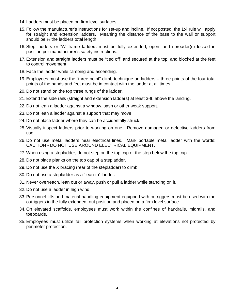- 14. Ladders must be placed on firm level surfaces.
- 15. Follow the manufacturer's instructions for set-up and incline. If not posted, the 1:4 rule will apply for straight and extension ladders. Meaning the distance of the base to the wall or support should be ¼ the ladders total length.
- 16. Step ladders or "A" frame ladders must be fully extended, open, and spreader(s) locked in position per manufacturer's safety instructions.
- 17. Extension and straight ladders must be "tied off" and secured at the top, and blocked at the feet to control movement.
- 18. Face the ladder while climbing and ascending.
- 19. Employees must use the "three point" climb technique on ladders three points of the four total points of the hands and feet must be in contact with the ladder at all times.
- 20. Do not stand on the top three rungs of the ladder.
- 21. Extend the side rails (straight and extension ladders) at least 3-ft. above the landing.
- 22. Do not lean a ladder against a window, sash or other weak support.
- 23. Do not lean a ladder against a support that may move.
- 24. Do not place ladder where they can be accidentally struck.
- 25. Visually inspect ladders prior to working on one. Remove damaged or defective ladders from use.
- 26. Do not use metal ladders near electrical lines. Mark portable metal ladder with the words: CAUTION - DO NOT USE AROUND ELECTRICAL EQUIPMENT.
- 27. When using a stepladder, do not step on the top cap or the step below the top cap.
- 28. Do not place planks on the top cap of a stepladder.
- 29. Do not use the X bracing (rear of the stepladder) to climb.
- 30. Do not use a stepladder as a "lean-to" ladder.
- 31. Never overreach, lean out or away, push or pull a ladder while standing on it.
- 32. Do not use a ladder in high wind.
- 33. Personnel lifts and material handling equipment equipped with outriggers must be used with the outriggers in the fully extended, out position and placed on a firm level surface.
- 34. On elevated scaffolds, employees must work within the confines of handrails, midrails, and toeboards.
- 35. Employees must utilize fall protection systems when working at elevations not protected by perimeter protection.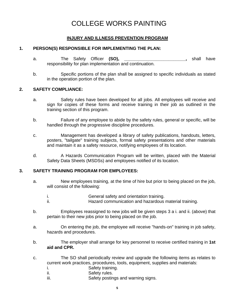## **INJURY AND ILLNESS PREVENTION PROGRAM**

#### **1. PERSON(S) RESPONSIBLE FOR IMPLEMENTING THE PLAN:**

- a. The Safety Officer (SO), the state of the Safety Officer (SO), the state of the state of the state of the state of the state of the state of the state of the state of the state of the state of the state of the state of responsibility for plan implementation and continuation.
- b. Specific portions of the plan shall be assigned to specific individuals as stated in the operation portion of the plan.

#### **2. SAFETY COMPLIANCE:**

- a. Safety rules have been developed for all jobs. All employees will receive and sign for copies of these forms and receive training in their job as outlined in the training section of this program.
- b. Failure of any employee to abide by the safety rules, general or specific, will be handled through the progressive discipline procedures.
- c. Management has developed a library of safety publications, handouts, letters, posters, "tailgate" training subjects, formal safety presentations and other materials and maintain it as a safety resource, notifying employees of its location.
- d. A Hazards Communication Program will be written, placed with the Material Safety Data Sheets (MSDSs) and employees notified of its location.

#### **3. SAFETY TRAINING PROGRAM FOR EMPLOYEES:**

- a. New employees training, at the time of hire but prior to being placed on the job, will consist of the following:
	- i. General safety and orientation training. ii. **Hazard communication and hazardous material training.**
- b. Employees reassigned to new jobs will be given steps 3 a i. and ii. (above) that pertain to their new jobs prior to being placed on the job.
- a. On entering the job, the employee will receive "hands-on" training in job safety, hazards and procedures.
- b. The employer shall arrange for key personnel to receive certified training in **1st aid and CPR.**
- c. The SO shall periodically review and upgrade the following items as relates to current work practices, procedures, tools, equipment, supplies and materials:
	- i. Safety training.
	- ii. Safety rules.
	- iii. Safety postings and warning signs.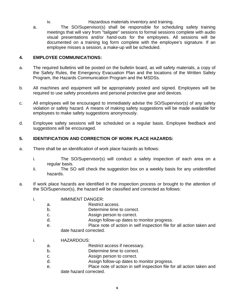- iv. Hazardous materials inventory and training.
- a. The SO/Supervisor(s) shall be responsible for scheduling safety training meetings that will vary from "tailgate" sessions to formal sessions complete with audio visual presentations and/or hand-outs for the employees. All sessions will be documented on a training log form complete with the employee's signature. If an employee misses a session, a make-up will be scheduled.

#### **4. EMPLOYEE COMMUNICATIONS:**

- a. The required bulletins will be posted on the bulletin board, as will safety materials, a copy of the Safety Rules, the Emergency Evacuation Plan and the locations of the Written Safety Program, the Hazards Communication Program and the MSDSs.
- b. All machines and equipment will be appropriately posted and signed. Employees will be required to use safety procedures and personal protective gear and devices.
- c. All employees will be encouraged to immediately advise the SO/Supervisor(s) of any safety violation or safety hazard. A means of making safety suggestions will be made available for employees to make safety suggestions anonymously.
- d. Employee safety sessions will be scheduled on a regular basis. Employee feedback and suggestions will be encouraged.

### **5. IDENTIFICATION AND CORRECTION OF WORK PLACE HAZARDS:**

- a. There shall be an identification of work place hazards as follows:
	- i. The SO/Supervisor(s) will conduct a safety inspection of each area on a regular basis.
	- ii. The SO will check the suggestion box on a weekly basis for any unidentified hazards.
- a. If work place hazards are identified in the inspection process or brought to the attention of the SO/Supervisor(s), the hazard will be classified and corrected as follows:
	- i. IMMINENT DANGER:
		- a. Restrict access.
		- b. Determine time to correct.
		- c. Assign person to correct.
		- d. Assign follow-up dates to monitor progress.
		- e. Place note of action in self inspection file for all action taken and date hazard corrected.
	- i. HAZARDOUS:
		- a. Restrict access if necessary.
		- b. Determine time to correct.
		- c. Assign person to correct.
		- d. Assign follow-up dates to monitor progress.
		- e. Place note of action in self inspection file for all action taken and date hazard corrected.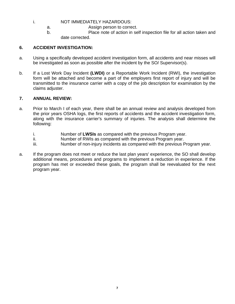### i. NOT IMMEDIATELY HAZARDOUS:

- a. Assign person to correct.
- b. Place note of action in self inspection file for all action taken and date corrected.

### **6. ACCIDENT INVESTIGATION:**

- a. Using a specifically developed accident investigation form, all accidents and near misses will be investigated as soon as possible after the incident by the SO/ Supervisor(s).
- b. If a Lost Work Day Incident **(LWDI)** or a Reportable Work Incident (RWI), the investigation form will be attached and become a part of the employers first report of injury and will be transmitted to the insurance carrier with a copy of the job description for examination by the claims adjuster.

#### **7. ANNUAL REVIEW:**

- a. Prior to March I of each year, there shall be an annual review and analysis developed from the prior years OSHA logs, the first reports of accidents and the accident investigation form, along with the insurance carrier's summary of injuries. The analysis shall determine the following:
	- i. Number of **LWSIs** as compared with the previous Program year.
	- ii. Number of RWIs as compared with the previous Program year.
	- iii. Number of non-injury incidents as compared with the previous Program year.
- a. If the program does not meet or reduce the last plan years' experience, the SO shall develop additional means, procedures and programs to implement a reduction in experience. If the program has met or exceeded these goals, the program shall be reevaluated for the next program year.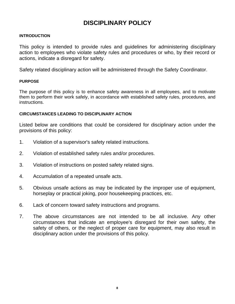# **DISCIPLINARY POLICY**

#### **INTRODUCTION**

This policy is intended to provide rules and guidelines for administering disciplinary action to employees who violate safety rules and procedures or who, by their record or actions, indicate a disregard for safety.

Safety related disciplinary action will be administered through the Safety Coordinator.

#### **PURPOSE**

The purpose of this policy is to enhance safety awareness in all employees, and to motivate them to perform their work safely, in accordance with established safety rules, procedures, and instructions.

#### **CIRCUMSTANCES LEADING TO DISCIPLINARY ACTION**

Listed below are conditions that could be considered for disciplinary action under the provisions of this policy:

- 1. Violation of a supervisor's safety related instructions.
- 2. Violation of established safety rules and/or procedures.
- 3. Violation of instructions on posted safety related signs.
- 4. Accumulation of a repeated unsafe acts.
- 5. Obvious unsafe actions as may be indicated by the improper use of equipment, horseplay or practical joking, poor housekeeping practices, etc.
- 6. Lack of concern toward safety instructions and programs.
- 7. The above circumstances are not intended to be all inclusive. Any other circumstances that indicate an employee's disregard for their own safety, the safety of others, or the neglect of proper care for equipment, may also result in disciplinary action under the provisions of this policy.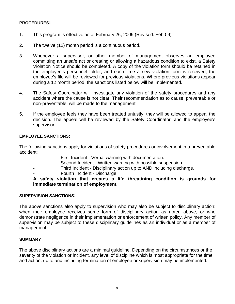### **PROCEDURES:**

- 1. This program is effective as of February 26, 2009 (Revised: Feb-09)
- 2. The twelve (12) month period is a continuous period.
- 3. Whenever a supervisor, or other member of management observes an employee committing an unsafe act or creating or allowing a hazardous condition to exist, a Safety Violation Notice should be completed. A copy of the violation form should be retained in the employee's personnel folder, and each time a new violation form is received, the employee's file will be reviewed for previous violations. Where previous violations appear during a 12 month period, the sanctions listed below will be implemented.
- 4. The Safety Coordinator will investigate any violation of the safety procedures and any accident where the cause is not clear. Their recommendation as to cause, preventable or non-preventable, will be made to the management.
- 5. If the employee feels they have been treated unjustly, they will be allowed to appeal the decision. The appeal will be reviewed by the Safety Coordinator, and the employee's supervisor.

### **EMPLOYEE SANCTIONS:**

The following sanctions apply for violations of safety procedures or involvement in a preventable accident:

- First Incident Verbal warning with documentation.
- Second Incident Written warning with possible suspension.
- Third Incident Disciplinary action up to AND including discharge.
- Fourth Incident Discharge.

**A safety violation that creates a life threatining condition is grounds for immediate termination of employment.** 

### **SUPERVISION SANCTIONS:**

The above sanctions also apply to supervision who may also be subject to disciplinary action: when their employee receives some form of disciplinary action as noted above, or who demonstrate negligence in their implementation or enforcement of written policy. Any member of supervision may be subject to these disciplinary guidelines as an individual or as a member of management.

### **SUMMARY**

The above disciplinary actions are a minimal guideline. Depending on the circumstances or the severity of the violation or incident, any level of discipline which is most appropriate for the time and action, up to and including termination of employee or supervision may be implemented.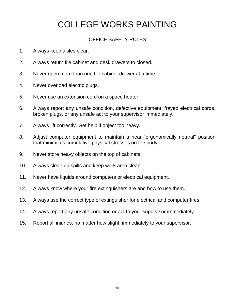## OFFICE SAFETY RULES

- 1. Always keep aisles clear.
- 2. Always return file cabinet and desk drawers to closed.
- 3. Never open more than one file cabinet drawer at a time.
- 4. Never overload electric plugs.
- 5. Never use an extension cord on a space heater.
- 6. Always report any unsafe condition, defective equipment, frayed electrical cords, broken plugs, or any unsafe act to your supervisor immediately.
- 7. Always lift correctly. Get help if object too heavy.
- 8. Adjust computer equipment to maintain a near "ergonomically neutral" position that minimizes cumulative physical stresses on the body.
- 9. Never store heavy objects on the top of cabinets.
- 10. Always clean up spills and keep work area clean.
- 11. Never have liquids around computers or electrical equipment.
- 12. Always know where your fire extinguishers are and how to use them.
- 13. Always use the correct type of extinguisher for electrical and computer fires.
- 14. Always report any unsafe condition or act to your supervisor immediately.
- 15. Report all injuries, no matter how slight, immediately to your supervisor.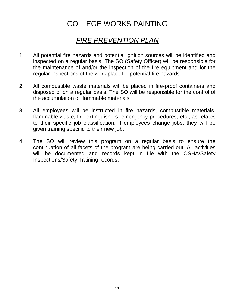# *FIRE PREVENTION PLAN*

- 1. All potential fire hazards and potential ignition sources will be identified and inspected on a regular basis. The SO (Safety Officer) will be responsible for the maintenance of and/or the inspection of the fire equipment and for the regular inspections of the work place for potential fire hazards.
- 2. All combustible waste materials will be placed in fire-proof containers and disposed of on a regular basis. The SO will be responsible for the control of the accumulation of flammable materials.
- 3. All employees will be instructed in fire hazards, combustible materials, flammable waste, fire extinguishers, emergency procedures, etc., as relates to their specific job classification. If employees change jobs, they will be given training specific to their new job.
- 4. The SO will review this program on a regular basis to ensure the continuation of all facets of the program are being carried out. All activities will be documented and records kept in file with the OSHA/Safety Inspections/Safety Training records.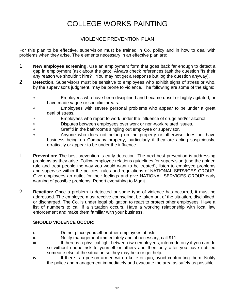## VIOLENCE PREVENTION PLAN

For this plan to be effective, supervision must be trained in Co. policy and in how to deal with problems when they arise. The elements necessary in an effective plan are:

- 1. **New employee screening.** Use an employment form that goes back far enough to detect a gap in employment (ask about the gap). Always check references (ask the question "Is their any reason we shouldn't hire?". You may not get a response but log the question anyway).
- 2. **Detection.** Supervisors must be sensitive to employees who exhibit signs of stress or who, by the supervisor's judgment, may be prone to violence. The following are some of the signs:
	- ∗ Employees who have been disciplined and became upset or highly agitated, or have made vague or specific threats.
	- Employees with severe personal problems who appear to be under a great deal of stress.
	- Employees who report to work under the influence of drugs and/or alcohol.
	- ∗ Disputes between employees over work or non-work related issues.
	- ∗ Graffiti in the bathrooms singling out employee or supervisor.
	- ∗ Anyone who does not belong on the property or otherwise does not have business being on Company property, particularly if they are acting suspiciously, erratically or appear to be under the influence.
- 1. **Prevention:** The best prevention is early detection. The next best prevention is addressing problems as they arise. Follow employee relations guidelines for supervision (use the golden rule and treat people the way you would want to be treated), listen to employee problems and supervise within the policies, rules and regulations of NATIONAL SERVICES GROUP. Give employees an outlet for their feelings and give NATIONAL SERVICES GROUP early warning of possible problems. Report everything to Mgmt.
- 2. **Reaction:** Once a problem is detected or some type of violence has occurred, it must be addressed. The employee must receive counseling, be taken out of the situation, disciplined, or discharged. The Co. is under legal obligation to react to protect other employees. Have a list of numbers to call if a situation occurs. Have a working relationship with local law enforcement and make them familiar with your business.

### **SHOULD VIOLENCE OCCUR:**

- i. Do not place yourself or other employees at risk.
- ii. Notify management immediately and, if necessary, call 911.
- iii. If there is a physical fight between two employees, intercede only if you can do so without undue risk to yourself or others and then only after you have notified someone else of the situation so they may help or get help.
- iv. If there is a person armed with a knife or gun, avoid confronting them. Notify the police and management immediately and evacuate the area as safely as possible.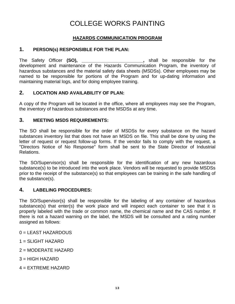## **HAZARDS COMMUNICATION PROGRAM**

## **1. PERSON(s) RESPONSIBLE FOR THE PLAN:**

The Safety Officer **(SO), \_\_\_\_\_\_\_\_\_\_\_\_\_\_\_\_\_\_\_\_\_\_\_\_,** shall be responsible for the development and maintenance of the Hazards Communication Program, the inventory of hazardous substances and the material safety data sheets (MSDSs). Other employees may be named to be responsible for portions of the Program and for up-dating information and maintaining material logs, and for doing employee training.

## **2. LOCATION AND AVAILABILITY OF PLAN:**

A copy of the Program will be located in the office, where all employees may see the Program, the inventory of hazardous substances and the MSDSs at any time.

## **3. MEETING MSDS REQUIREMENTS:**

The SO shall be responsible for the order of MSDSs for every substance on the hazard substances inventory list that does not have an MSDS on file. This shall be done by using the letter of request or request follow-up forms. If the vendor fails to comply with the request, a "Directors Notice of No Response" form shall be sent to the State Director of Industrial Relations.

The SO/Supervisor(s) shall be responsible for the identification of any new hazardous substance(s) to be introduced into the work place. Vendors will be requested to provide MSDSs prior to the receipt of the substance(s) so that employees can be training in the safe handling of the substance(s).

## **4. LABELING PROCEDURES:**

The SO/Supervisor(s) shall be responsible for the labeling of any container of hazardous substance(s) that enter(s) the work place and will inspect each container to see that it is properly labeled with the trade or common name, the chemical name and the CAS number. If there is not a hazard warning on the label, the MSDS will be consulted and a rating number assigned as follows:

0 = LEAST HAZARDOUS

 $1 =$  SLIGHT HAZARD

2 = MODERATE HAZARD

 $3 = HIGH HAZARD$ 

4 = EXTREME HAZARD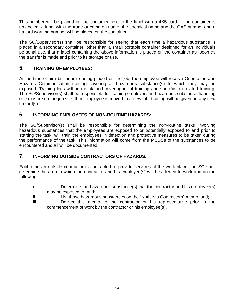This number will be placed on the container next to the label with a 4X5 card. If the container is unlabeled, a label with the trade or common name, the chemical name and the CAS number and a hazard warning number will be placed on the container.

The SO/Supervisor(s) shall be responsible for seeing that each time a hazardous substance is placed in a secondary container, other than a small portable container designed for an individuals personal use, that a label containing the above information is placed on the container as -soon as the transfer is made and prior to its storage or use.

## **5. TRAINING OF EMPLOYEES:**

At the time of hire but prior to being placed on the job, the employee will receive Orientation and Hazards Communication training covering all hazardous substance(s) to which they may be exposed. Training logs will be maintained covering initial training and specific job related training. The SO/Supervisor(s) shall be responsible for training employees in hazardous substance handling or exposure on the job site. If an employee is moved to a new job, training will be given on any new hazard(s).

## **6. INFORMING EMPLOYEES OF NON-ROUTINE HAZARDS:**

The SO/Supervisor(s) shall be responsible for determining the non-routine tasks involving hazardous substances that the employees are exposed to or potentially exposed to and prior to starting the task, will train the employees in detection and protective measures to be taken during the performance of the task. This information will come from the MSDSs of the substances to be encountered and all will be documented.

## **7. INFORMING OUTSIDE CONTRACTORS OF HAZARDS:**

Each time an outside contractor is contracted to provide services at the work place, the SO shall determine the area in which the contractor and his employee(s) will be allowed to work and do the following:

- i. Determine the hazardous substance(s) that the contractor and his employee(s) may be exposed to, and;
- ii. List those hazardous substances on the "Notice to Contractors" memo, and;
- iii. Deliver this memo to the contractor or his representative prior to the commencement of work by the contractor or his employee(s).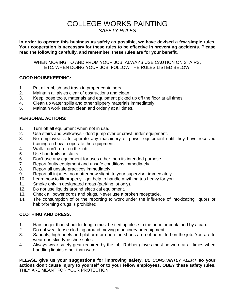# COLLEGE WORKS PAINTING *SAFETY RULES*

**In order to operate this business as safely as possible, we have devised a few simple rules. Your cooperation is necessary for these rules to be effective in preventing accidents. Please read the following carefully, and remember, these rules are for your benefit.** 

WHEN MOVING TO AND FROM YOUR JOB, ALWAYS USE CAUTION ON STAIRS, ETC. WHEN DOING YOUR JOB, FOLLOW THE RULES LISTED BELOW.

### **GOOD HOUSEKEEPING:**

- 1. Put all rubbish and trash in proper containers.
- 2. Maintain all aisles clear of obstructions and clean.
- 3. Keep loose tools, materials and equipment picked up off the floor at all times.
- 4. Clean up water spills and other slippery materials immediately.
- 5. Maintain work station clean and orderly at all times.

## **PERSONAL ACTIONS:**

- 1. Turn off all equipment when not in use.
- 2. Use stairs and walkways don't jump over or crawl under equipment.
- 3. No employee is to operate any machinery or power equipment until they have received training on how to operate the equipment.
- 4. Walk don't run on the job.
- 5. Use handrails on stairs.
- 6. Don't use any equipment for uses other then its intended purpose.
- 7. Report faulty equipment and unsafe conditions immediately.
- 8. Report all unsafe practices immediately.
- 9. Report all injuries, no matter how slight, to your supervisor immediately.
- 10. Learn how to lift properly get help to handle anything too heavy for you.
- 11. Smoke only in designated areas (parking lot only).
- 12. Do not use liquids around electrical equipment.
- 13. Check all power cords and plugs. Never use a broken receptacle.
- 14. The consumption of or the reporting to work under the influence of intoxicating liquors or habit-forming drugs is prohibited.

## **CLOTHING AND DRESS:**

- 1. Hair longer than shoulder length must be tied up close to the head or contained by a cap.
- 2. Do not wear loose clothing around moving machinery or equipment.
- 3. Sandals, high heels and platform or open-toe shoes are not permitted on the job. You are to wear non-skid type shoe soles.
- 4. Always wear safety gear required by the job. Rubber gloves must be worn at all times when handling liquids other than water.

**PLEASE give us your suggestions for improving safety.** *BE CONSTANTLY ALERT* **so your actions don't cause injury to yourself or to your fellow employees. OBEY these safety rules.** THEY ARE MEANT FOR YOUR PROTECTION.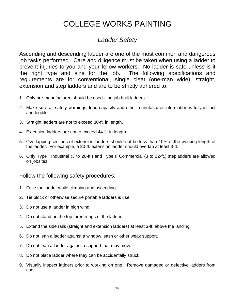# *Ladder Safety*

Ascending and descending ladder are one of the most common and dangerous job tasks performed. Care and diligence must be taken when using a ladder to prevent injuries to you and your fellow workers. No ladder is safe unless is it the right type and size for the job. The following specifications and requirements are for conventional, single cleat (one-man wide), straight, extension and step ladders and are to be strictly adhered to:

- 1. Only pre-manufactured should be used no job built ladders.
- 2. Make sure all safety warnings, load capacity and other manufacturer information is fully in tact and legible.
- 3. Straight ladders are not to exceed 30-ft. in length.
- 4. Extension ladders are not to exceed 44-ft. in length.
- 5. Overlapping sections of extension ladders should not be less than 10% of the working length of the ladder. For example, a 30-ft. extension ladder should overlap at least 3-ft.
- 6. Only Type I Industrial (3 to 20-ft.) and Type II Commercial (3 to 12-ft.) stepladders are allowed on jobsites.

## Follow the following safety procedures:

- 1. Face the ladder while climbing and ascending.
- 2. Tie block or otherwise secure portable ladders is use.
- 3. Do not use a ladder in high wind.
- 4. Do not stand on the top three rungs of the ladder.
- 5. Extend the side rails (straight and extension ladders) at least 3-ft. above the landing.
- 6. Do not lean a ladder against a window, sash or other weak support.
- 7. Do not lean a ladder against a support that may move.
- 8. Do not place ladder where they can be accidentally struck.
- 9. Visually inspect ladders prior to working on one. Remove damaged or defective ladders from use.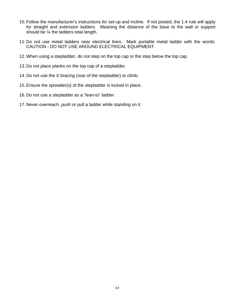- 10. Follow the manufacturer's instructions for set-up and incline. If not posted, the 1:4 rule will apply for straight and extension ladders. Meaning the distance of the base to the wall or support should be ¼ the ladders total length.
- 11. Do not use metal ladders near electrical lines. Mark portable metal ladder with the words: CAUTION - DO NOT USE AROUND ELECTRICAL EQUIPMENT.
- 12. When using a stepladder, do not step on the top cap or the step below the top cap.
- 13. Do not place planks on the top cap of a stepladder.
- 14. Do not use the X bracing (rear of the stepladder) to climb.
- 15. Ensure the spreader(s) of the stepladder is locked in place.
- 16. Do not use a stepladder as a "lean-to" ladder.
- 17. Never overreach, push or pull a ladder while standing on it.